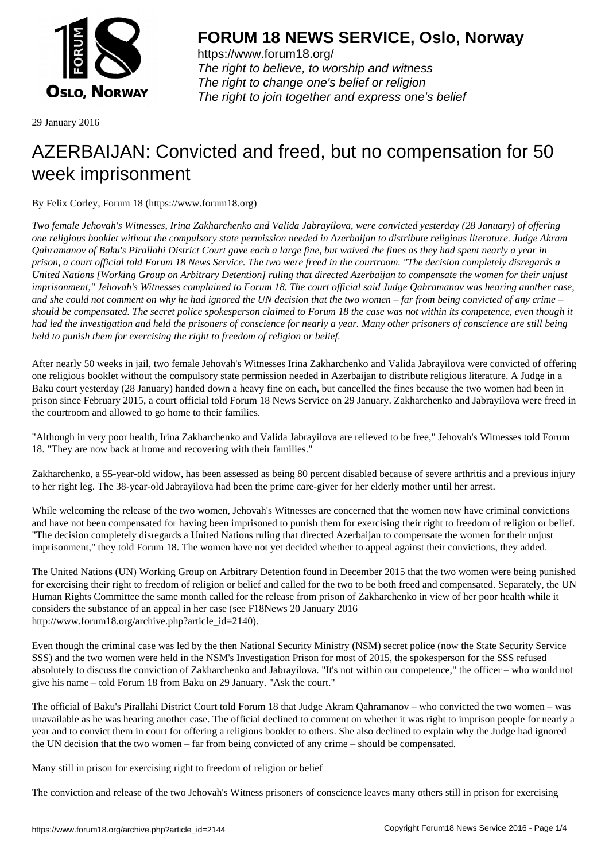

https://www.forum18.org/ The right to believe, to worship and witness The right to change one's belief or religion [The right to join together a](https://www.forum18.org/)nd express one's belief

29 January 2016

# [AZERBAIJAN: C](https://www.forum18.org)onvicted and freed, but no compensation for 50 week imprisonment

By Felix Corley, Forum 18 (https://www.forum18.org)

*Two female Jehovah's Witnesses, Irina Zakharchenko and Valida Jabrayilova, were convicted yesterday (28 January) of offering one religious booklet without the compulsory state permission needed in Azerbaijan to distribute religious literature. Judge Akram Qahramanov of Baku's Pirallahi District Court gave each a large fine, but waived the fines as they had spent nearly a year in prison, a court official told Forum 18 News Service. The two were freed in the courtroom. "The decision completely disregards a United Nations [Working Group on Arbitrary Detention] ruling that directed Azerbaijan to compensate the women for their unjust imprisonment," Jehovah's Witnesses complained to Forum 18. The court official said Judge Qahramanov was hearing another case, and she could not comment on why he had ignored the UN decision that the two women – far from being convicted of any crime – should be compensated. The secret police spokesperson claimed to Forum 18 the case was not within its competence, even though it had led the investigation and held the prisoners of conscience for nearly a year. Many other prisoners of conscience are still being held to punish them for exercising the right to freedom of religion or belief.*

After nearly 50 weeks in jail, two female Jehovah's Witnesses Irina Zakharchenko and Valida Jabrayilova were convicted of offering one religious booklet without the compulsory state permission needed in Azerbaijan to distribute religious literature. A Judge in a Baku court yesterday (28 January) handed down a heavy fine on each, but cancelled the fines because the two women had been in prison since February 2015, a court official told Forum 18 News Service on 29 January. Zakharchenko and Jabrayilova were freed in the courtroom and allowed to go home to their families.

"Although in very poor health, Irina Zakharchenko and Valida Jabrayilova are relieved to be free," Jehovah's Witnesses told Forum 18. "They are now back at home and recovering with their families."

Zakharchenko, a 55-year-old widow, has been assessed as being 80 percent disabled because of severe arthritis and a previous injury to her right leg. The 38-year-old Jabrayilova had been the prime care-giver for her elderly mother until her arrest.

While welcoming the release of the two women, Jehovah's Witnesses are concerned that the women now have criminal convictions and have not been compensated for having been imprisoned to punish them for exercising their right to freedom of religion or belief. "The decision completely disregards a United Nations ruling that directed Azerbaijan to compensate the women for their unjust imprisonment," they told Forum 18. The women have not yet decided whether to appeal against their convictions, they added.

The United Nations (UN) Working Group on Arbitrary Detention found in December 2015 that the two women were being punished for exercising their right to freedom of religion or belief and called for the two to be both freed and compensated. Separately, the UN Human Rights Committee the same month called for the release from prison of Zakharchenko in view of her poor health while it considers the substance of an appeal in her case (see F18News 20 January 2016 http://www.forum18.org/archive.php?article\_id=2140).

Even though the criminal case was led by the then National Security Ministry (NSM) secret police (now the State Security Service SSS) and the two women were held in the NSM's Investigation Prison for most of 2015, the spokesperson for the SSS refused absolutely to discuss the conviction of Zakharchenko and Jabrayilova. "It's not within our competence," the officer – who would not give his name – told Forum 18 from Baku on 29 January. "Ask the court."

The official of Baku's Pirallahi District Court told Forum 18 that Judge Akram Qahramanov – who convicted the two women – was unavailable as he was hearing another case. The official declined to comment on whether it was right to imprison people for nearly a year and to convict them in court for offering a religious booklet to others. She also declined to explain why the Judge had ignored the UN decision that the two women – far from being convicted of any crime – should be compensated.

Many still in prison for exercising right to freedom of religion or belief

The conviction and release of the two Jehovah's Witness prisoners of conscience leaves many others still in prison for exercising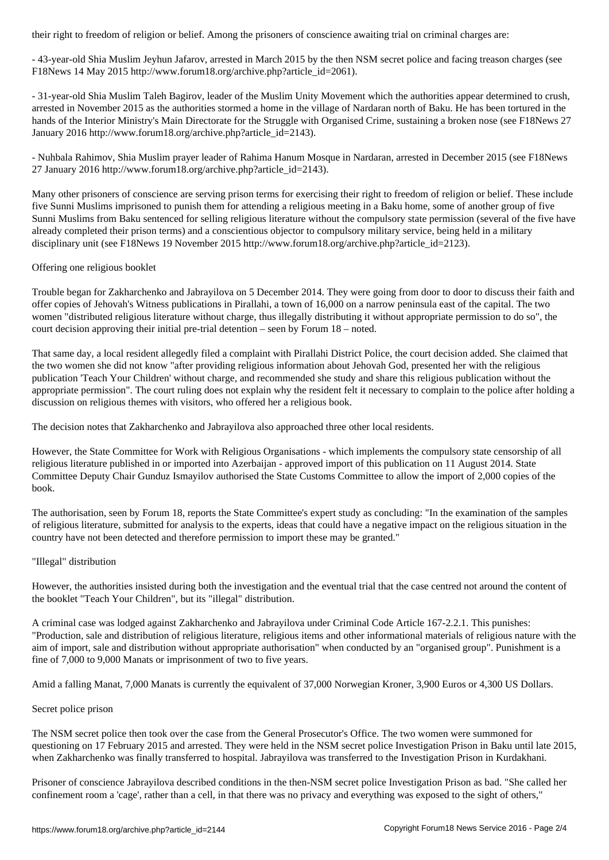- 43-year-old Shia Muslim Jeyhun Jafarov, arrested in March 2015 by the then NSM secret police and facing treason charges (see F18News 14 May 2015 http://www.forum18.org/archive.php?article\_id=2061).

- 31-year-old Shia Muslim Taleh Bagirov, leader of the Muslim Unity Movement which the authorities appear determined to crush, arrested in November 2015 as the authorities stormed a home in the village of Nardaran north of Baku. He has been tortured in the hands of the Interior Ministry's Main Directorate for the Struggle with Organised Crime, sustaining a broken nose (see F18News 27 January 2016 http://www.forum18.org/archive.php?article\_id=2143).

- Nuhbala Rahimov, Shia Muslim prayer leader of Rahima Hanum Mosque in Nardaran, arrested in December 2015 (see F18News 27 January 2016 http://www.forum18.org/archive.php?article\_id=2143).

Many other prisoners of conscience are serving prison terms for exercising their right to freedom of religion or belief. These include five Sunni Muslims imprisoned to punish them for attending a religious meeting in a Baku home, some of another group of five Sunni Muslims from Baku sentenced for selling religious literature without the compulsory state permission (several of the five have already completed their prison terms) and a conscientious objector to compulsory military service, being held in a military disciplinary unit (see F18News 19 November 2015 http://www.forum18.org/archive.php?article\_id=2123).

#### Offering one religious booklet

Trouble began for Zakharchenko and Jabrayilova on 5 December 2014. They were going from door to door to discuss their faith and offer copies of Jehovah's Witness publications in Pirallahi, a town of 16,000 on a narrow peninsula east of the capital. The two women "distributed religious literature without charge, thus illegally distributing it without appropriate permission to do so", the court decision approving their initial pre-trial detention – seen by Forum 18 – noted.

That same day, a local resident allegedly filed a complaint with Pirallahi District Police, the court decision added. She claimed that the two women she did not know "after providing religious information about Jehovah God, presented her with the religious publication 'Teach Your Children' without charge, and recommended she study and share this religious publication without the appropriate permission". The court ruling does not explain why the resident felt it necessary to complain to the police after holding a discussion on religious themes with visitors, who offered her a religious book.

The decision notes that Zakharchenko and Jabrayilova also approached three other local residents.

However, the State Committee for Work with Religious Organisations - which implements the compulsory state censorship of all religious literature published in or imported into Azerbaijan - approved import of this publication on 11 August 2014. State Committee Deputy Chair Gunduz Ismayilov authorised the State Customs Committee to allow the import of 2,000 copies of the book.

The authorisation, seen by Forum 18, reports the State Committee's expert study as concluding: "In the examination of the samples of religious literature, submitted for analysis to the experts, ideas that could have a negative impact on the religious situation in the country have not been detected and therefore permission to import these may be granted."

### "Illegal" distribution

However, the authorities insisted during both the investigation and the eventual trial that the case centred not around the content of the booklet "Teach Your Children", but its "illegal" distribution.

A criminal case was lodged against Zakharchenko and Jabrayilova under Criminal Code Article 167-2.2.1. This punishes: "Production, sale and distribution of religious literature, religious items and other informational materials of religious nature with the aim of import, sale and distribution without appropriate authorisation" when conducted by an "organised group". Punishment is a fine of 7,000 to 9,000 Manats or imprisonment of two to five years.

Amid a falling Manat, 7,000 Manats is currently the equivalent of 37,000 Norwegian Kroner, 3,900 Euros or 4,300 US Dollars.

#### Secret police prison

The NSM secret police then took over the case from the General Prosecutor's Office. The two women were summoned for questioning on 17 February 2015 and arrested. They were held in the NSM secret police Investigation Prison in Baku until late 2015, when Zakharchenko was finally transferred to hospital. Jabrayilova was transferred to the Investigation Prison in Kurdakhani.

Prisoner of conscience Jabrayilova described conditions in the then-NSM secret police Investigation Prison as bad. "She called her confinement room a 'cage', rather than a cell, in that there was no privacy and everything was exposed to the sight of others,"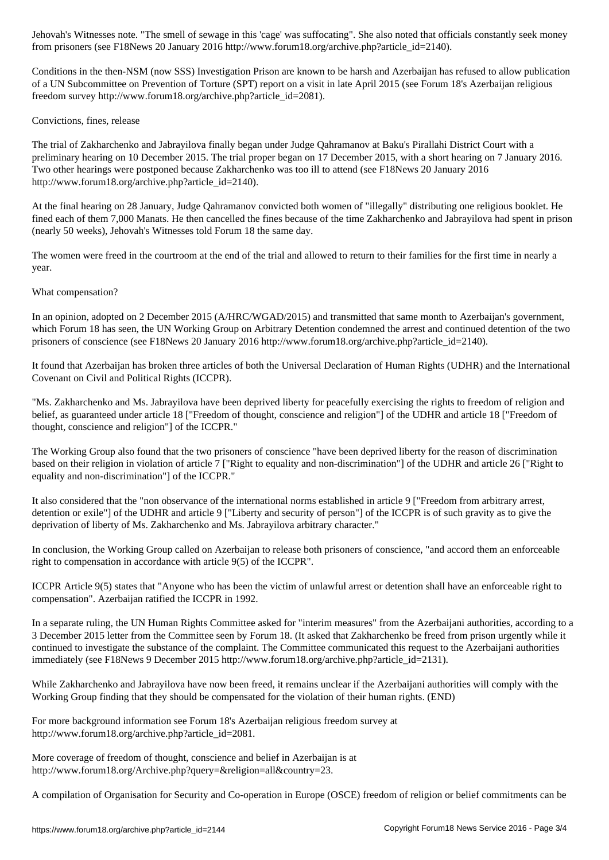from prisoners (see F18News 20 January 2016 http://www.forum18.org/archive.php?article\_id=2140).

Conditions in the then-NSM (now SSS) Investigation Prison are known to be harsh and Azerbaijan has refused to allow publication of a UN Subcommittee on Prevention of Torture (SPT) report on a visit in late April 2015 (see Forum 18's Azerbaijan religious freedom survey http://www.forum18.org/archive.php?article\_id=2081).

## Convictions, fines, release

The trial of Zakharchenko and Jabrayilova finally began under Judge Qahramanov at Baku's Pirallahi District Court with a preliminary hearing on 10 December 2015. The trial proper began on 17 December 2015, with a short hearing on 7 January 2016. Two other hearings were postponed because Zakharchenko was too ill to attend (see F18News 20 January 2016 http://www.forum18.org/archive.php?article\_id=2140).

At the final hearing on 28 January, Judge Qahramanov convicted both women of "illegally" distributing one religious booklet. He fined each of them 7,000 Manats. He then cancelled the fines because of the time Zakharchenko and Jabrayilova had spent in prison (nearly 50 weeks), Jehovah's Witnesses told Forum 18 the same day.

The women were freed in the courtroom at the end of the trial and allowed to return to their families for the first time in nearly a year.

## What compensation?

In an opinion, adopted on 2 December 2015 (A/HRC/WGAD/2015) and transmitted that same month to Azerbaijan's government, which Forum 18 has seen, the UN Working Group on Arbitrary Detention condemned the arrest and continued detention of the two prisoners of conscience (see F18News 20 January 2016 http://www.forum18.org/archive.php?article\_id=2140).

It found that Azerbaijan has broken three articles of both the Universal Declaration of Human Rights (UDHR) and the International Covenant on Civil and Political Rights (ICCPR).

"Ms. Zakharchenko and Ms. Jabrayilova have been deprived liberty for peacefully exercising the rights to freedom of religion and belief, as guaranteed under article 18 ["Freedom of thought, conscience and religion"] of the UDHR and article 18 ["Freedom of thought, conscience and religion"] of the ICCPR."

The Working Group also found that the two prisoners of conscience "have been deprived liberty for the reason of discrimination based on their religion in violation of article 7 ["Right to equality and non-discrimination"] of the UDHR and article 26 ["Right to equality and non-discrimination"] of the ICCPR."

It also considered that the "non observance of the international norms established in article 9 ["Freedom from arbitrary arrest, detention or exile"] of the UDHR and article 9 ["Liberty and security of person"] of the ICCPR is of such gravity as to give the deprivation of liberty of Ms. Zakharchenko and Ms. Jabrayilova arbitrary character."

In conclusion, the Working Group called on Azerbaijan to release both prisoners of conscience, "and accord them an enforceable right to compensation in accordance with article 9(5) of the ICCPR".

ICCPR Article 9(5) states that "Anyone who has been the victim of unlawful arrest or detention shall have an enforceable right to compensation". Azerbaijan ratified the ICCPR in 1992.

In a separate ruling, the UN Human Rights Committee asked for "interim measures" from the Azerbaijani authorities, according to a 3 December 2015 letter from the Committee seen by Forum 18. (It asked that Zakharchenko be freed from prison urgently while it continued to investigate the substance of the complaint. The Committee communicated this request to the Azerbaijani authorities immediately (see F18News 9 December 2015 http://www.forum18.org/archive.php?article\_id=2131).

While Zakharchenko and Jabrayilova have now been freed, it remains unclear if the Azerbaijani authorities will comply with the Working Group finding that they should be compensated for the violation of their human rights. (END)

For more background information see Forum 18's Azerbaijan religious freedom survey at http://www.forum18.org/archive.php?article\_id=2081.

More coverage of freedom of thought, conscience and belief in Azerbaijan is at http://www.forum18.org/Archive.php?query=&religion=all&country=23.

A compilation of Organisation for Security and Co-operation in Europe (OSCE) freedom of religion or belief commitments can be